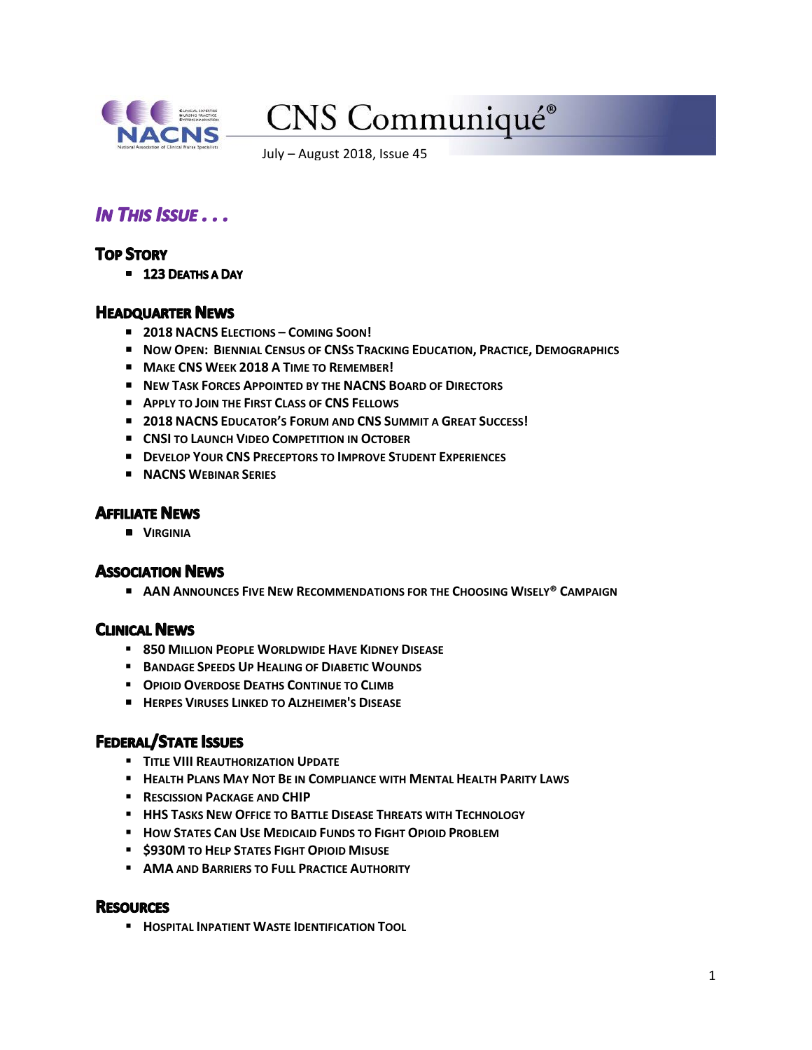

# CNS Communiqué®

July – August 2018, Issue 45

# **IN THIS ISSUE...**

# **TOP STORY**

**123 DEATHS A DAY** 

# **HEADQUARTER NEWS**

- P **2018 NACNS ELECTIONS – COMING SOON!**
- P **NOW OPEN: BIENNIAL CENSUS OF CNSS TRACKING EDUCATION, PRACTICE, DEMOGRAPHICS**
- P **MAKE CNS WEEK 2018 A TIME TO REMEMBER!**
- P **NEW TASK FORCES APPOINTED BY THE NACNS BOARD OF DIRECTORS**
- P **APPLY TO JOIN THE FIRST CLASS OF CNS FELLOWS**
- P **2018 NACNS EDUCATOR'S FORUM AND CNS SUMMIT A GREAT SUCCESS!**
- P **CNSI TO LAUNCH VIDEO COMPETITION IN OCTOBER**
- P **DEVELOP YOUR CNS PRECEPTORS TO IMPROVE STUDENT EXPERIENCES**
- P **NACNS WEBINAR SERIES**

# **AFFILIATE NEWS**

**VIRGINIA**

# **ASSOCIATION NEWS**

P **AAN ANNOUNCES FIVE NEW RECOMMENDATIONS FOR THE CHOOSING WISELY® CAMPAIGN**

# **CLINICAL NEWS**

- **850 MILLION PEOPLE WORLDWIDE HAVE KIDNEY DISEASE**
- **BANDAGE SPEEDS UP HEALING OF DIABETIC WOUNDS**
- **OPIOID OVERDOSE DEATHS CONTINUE TO CLIMB**
- P **HERPES VIRUSES LINKED TO ALZHEIMER'S DISEASE**

# **FEDERAL/STATE ISSUES**

- **TITLE VIII REAUTHORIZATION UPDATE**
- **HEALTH PLANS MAY NOT BE IN COMPLIANCE WITH MENTAL HEALTH PARITY LAWS**
- **RESCISSION PACKAGE AND CHIP**
- **HHS TASKS NEW OFFICE TO BATTLE DISEASE THREATS WITH TECHNOLOGY**
- **HOW STATES CAN USE MEDICAID FUNDS TO FIGHT OPIOID PROBLEM**
- **\$930M TO HELP STATES FIGHT OPIOID MISUSE**
- **AMA AND BARRIERS TO FULL PRACTICE AUTHORITY**

# **RESOURCES**

**HOSPITAL INPATIENT WASTE IDENTIFICATION TOOL**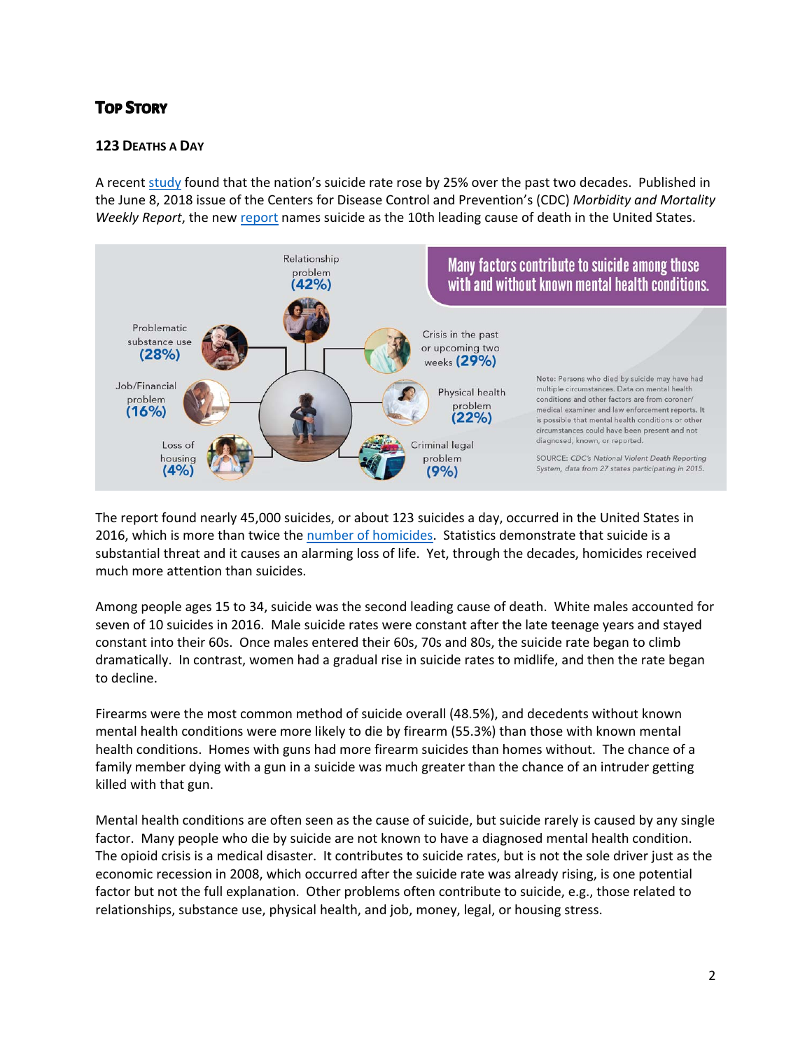# **TOP STORY**

# **123 DEATHS A DAY**

A recent study found that the nation's suicide rate rose by 25% over the past two decades. Published in the June 8, 2018 issue of the Centers for Disease Control and Prevention's (CDC) *Morbidity and Mortality Weekly Report*, the new report names suicide as the 10th leading cause of death in the United States.



The report found nearly 45,000 suicides, or about 123 suicides a day, occurred in the United States in 2016, which is more than twice the number of homicides. Statistics demonstrate that suicide is a substantial threat and it causes an alarming loss of life. Yet, through the decades, homicides received much more attention than suicides.

Among people ages 15 to 34, suicide was the second leading cause of death. White males accounted for seven of 10 suicides in 2016. Male suicide rates were constant after the late teenage years and stayed constant into their 60s. Once males entered their 60s, 70s and 80s, the suicide rate began to climb dramatically. In contrast, women had a gradual rise in suicide rates to midlife, and then the rate began to decline.

Firearms were the most common method of suicide overall (48.5%), and decedents without known mental health conditions were more likely to die by firearm (55.3%) than those with known mental health conditions. Homes with guns had more firearm suicides than homes without. The chance of a family member dying with a gun in a suicide was much greater than the chance of an intruder getting killed with that gun.

Mental health conditions are often seen as the cause of suicide, but suicide rarely is caused by any single factor. Many people who die by suicide are not known to have a diagnosed mental health condition. The opioid crisis is a medical disaster. It contributes to suicide rates, but is not the sole driver just as the economic recession in 2008, which occurred after the suicide rate was already rising, is one potential factor but not the full explanation. Other problems often contribute to suicide, e.g., those related to relationships, substance use, physical health, and job, money, legal, or housing stress.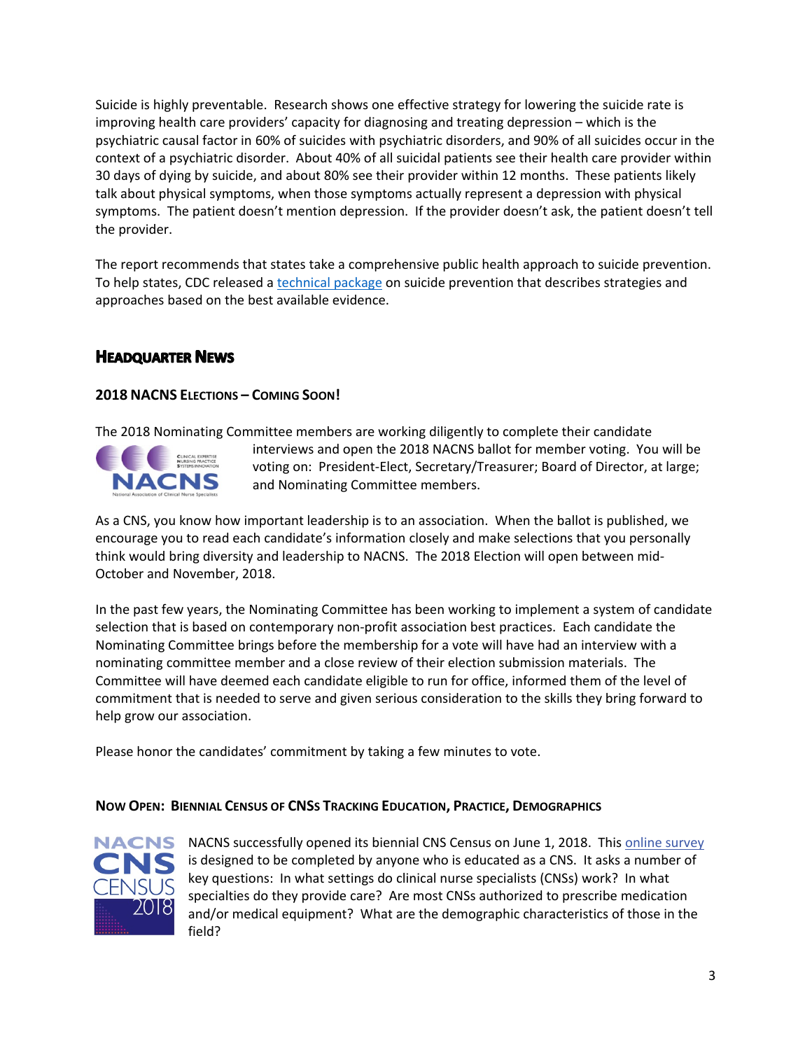Suicide is highly preventable. Research shows one effective strategy for lowering the suicide rate is improving health care providers' capacity for diagnosing and treating depression – which is the psychiatric causal factor in 60% of suicides with psychiatric disorders, and 90% of all suicides occur in the context of a psychiatric disorder. About 40% of all suicidal patients see their health care provider within 30 days of dying by suicide, and about 80% see their provider within 12 months. These patients likely talk about physical symptoms, when those symptoms actually represent a depression with physical symptoms. The patient doesn't mention depression. If the provider doesn't ask, the patient doesn't tell the provider.

The report recommends that states take a comprehensive public health approach to suicide prevention. To help states, CDC released a technical package on suicide prevention that describes strategies and approaches based on the best available evidence.

# **HEADQUARTER NEWS**

# **2018 NACNS ELECTIONS – COMING SOON!**

The 2018 Nominating Committee members are working diligently to complete their candidate



interviews and open the 2018 NACNS ballot for member voting. You will be voting on: President‐Elect, Secretary/Treasurer; Board of Director, at large; and Nominating Committee members.

As a CNS, you know how important leadership is to an association. When the ballot is published, we encourage you to read each candidate's information closely and make selections that you personally think would bring diversity and leadership to NACNS. The 2018 Election will open between mid‐ October and November, 2018.

In the past few years, the Nominating Committee has been working to implement a system of candidate selection that is based on contemporary non‐profit association best practices. Each candidate the Nominating Committee brings before the membership for a vote will have had an interview with a nominating committee member and a close review of their election submission materials. The Committee will have deemed each candidate eligible to run for office, informed them of the level of commitment that is needed to serve and given serious consideration to the skills they bring forward to help grow our association.

Please honor the candidates' commitment by taking a few minutes to vote.

# **NOW OPEN: BIENNIAL CENSUS OF CNSS TRACKING EDUCATION, PRACTICE, DEMOGRAPHICS**



NACNS successfully opened its biennial CNS Census on June 1, 2018. This online survey is designed to be completed by anyone who is educated as a CNS. It asks a number of key questions: In what settings do clinical nurse specialists (CNSs) work? In what specialties do they provide care? Are most CNSs authorized to prescribe medication and/or medical equipment? What are the demographic characteristics of those in the field?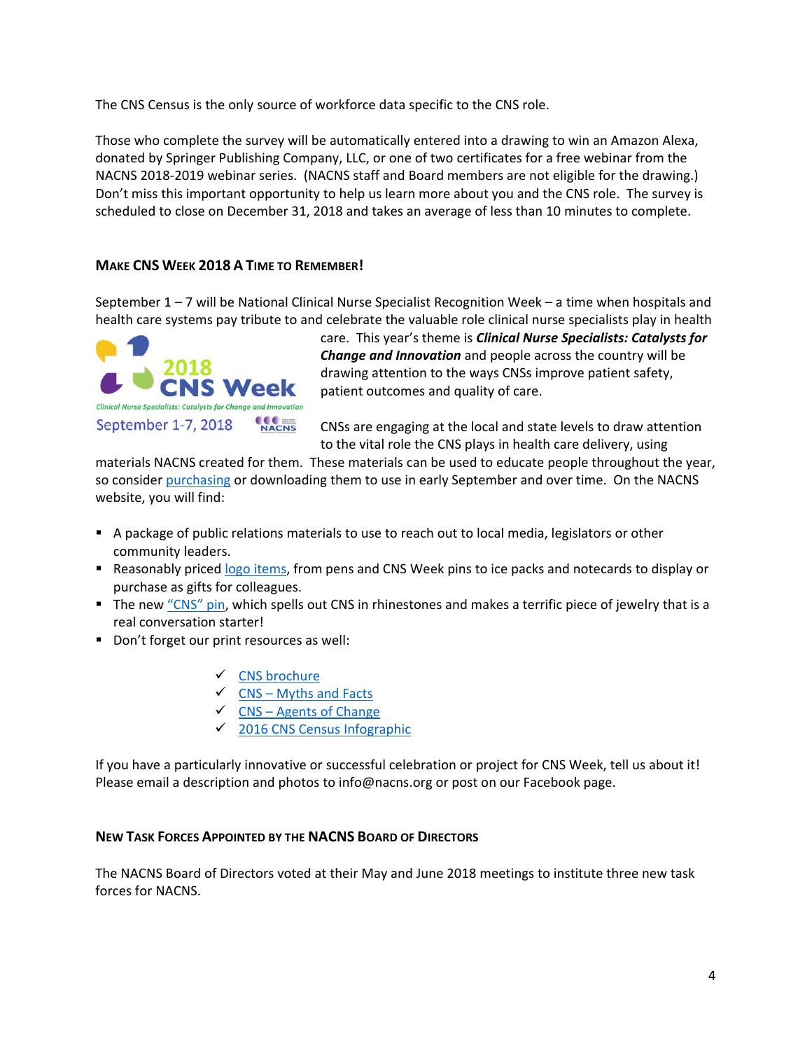The CNS Census is the only source of workforce data specific to the CNS role.

Those who complete the survey will be automatically entered into a drawing to win an Amazon Alexa, donated by Springer Publishing Company, LLC, or one of two certificates for a free webinar from the NACNS 2018‐2019 webinar series. (NACNS staff and Board members are not eligible for the drawing.) Don't miss this important opportunity to help us learn more about you and the CNS role. The survey is scheduled to close on December 31, 2018 and takes an average of less than 10 minutes to complete.

# **MAKE CNS WEEK 2018 A TIME TO REMEMBER!**

September 1 – 7 will be National Clinical Nurse Specialist Recognition Week – a time when hospitals and health care systems pay tribute to and celebrate the valuable role clinical nurse specialists play in health



care. This year's theme is *Clinical Nurse Specialists: Catalysts for Change and Innovation* and people across the country will be drawing attention to the ways CNSs improve patient safety, patient outcomes and quality of care.

CNSs are engaging at the local and state levels to draw attention to the vital role the CNS plays in health care delivery, using

materials NACNS created for them. These materials can be used to educate people throughout the year, so consider purchasing or downloading them to use in early September and over time. On the NACNS website, you will find:

- A package of public relations materials to use to reach out to local media, legislators or other community leaders.
- Reasonably priced logo items, from pens and CNS Week pins to ice packs and notecards to display or purchase as gifts for colleagues.
- The new "CNS" pin, which spells out CNS in rhinestones and makes a terrific piece of jewelry that is a real conversation starter!
- Don't forget our print resources as well:
	- $\checkmark$  CNS brochure
	- $\checkmark$  CNS Myths and Facts
	- $\checkmark$  CNS Agents of Change
	- 2016 CNS Census Infographic

If you have a particularly innovative or successful celebration or project for CNS Week, tell us about it! Please email a description and photos to info@nacns.org or post on our Facebook page.

# **NEW TASK FORCES APPOINTED BY THE NACNS BOARD OF DIRECTORS**

The NACNS Board of Directors voted at their May and June 2018 meetings to institute three new task forces for NACNS.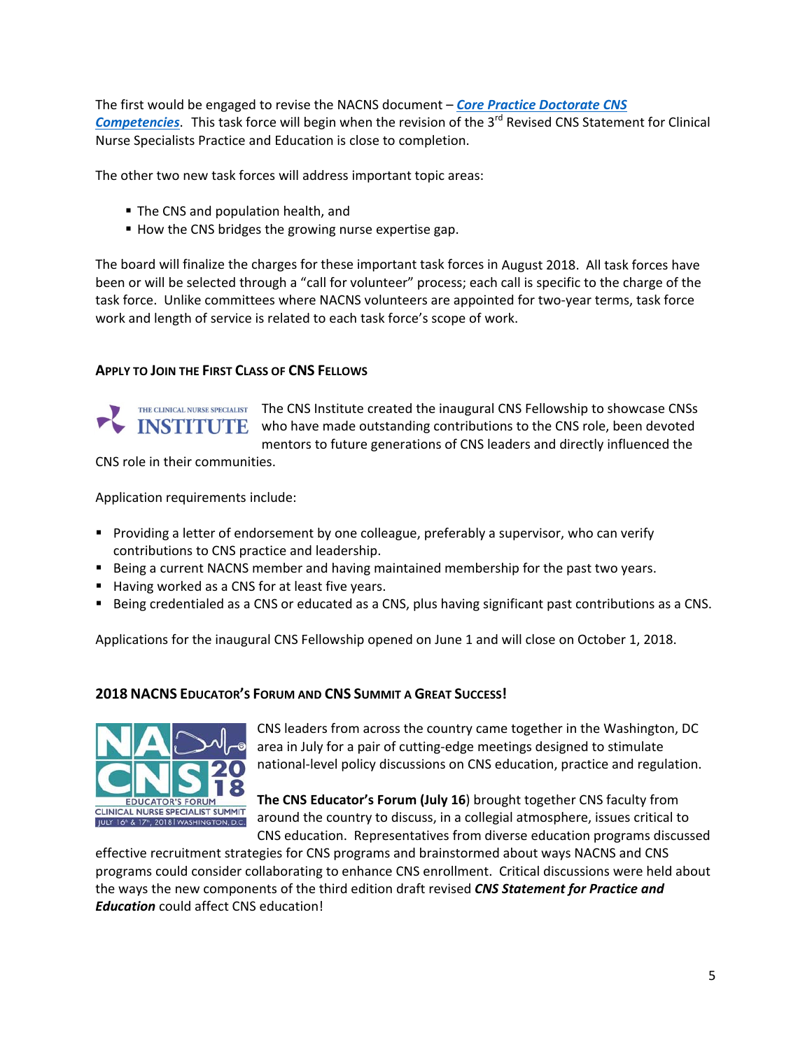The first would be engaged to revise the NACNS document – *Core Practice Doctorate CNS* **Competencies**. This task force will begin when the revision of the 3<sup>rd</sup> Revised CNS Statement for Clinical Nurse Specialists Practice and Education is close to completion.

The other two new task forces will address important topic areas:

- **The CNS and population health, and**
- How the CNS bridges the growing nurse expertise gap.

The board will finalize the charges for these important task forces in August 2018. All task forces have been or will be selected through a "call for volunteer" process; each call is specific to the charge of the task force. Unlike committees where NACNS volunteers are appointed for two-year terms, task force work and length of service is related to each task force's scope of work.

# **APPLY TO JOIN THE FIRST CLASS OF CNS FELLOWS**

THE CLINICAL NURSE SPECIALIST The CNS Institute created the inaugural CNS Fellowship to showcase CNSs INSTITUTE who have made outstanding contributions to the CNS role, been devoted mentors to future generations of CNS leaders and directly influenced the

CNS role in their communities.

Application requirements include:

- **Providing a letter of endorsement by one colleague, preferably a supervisor, who can verify** contributions to CNS practice and leadership.
- **Being a current NACNS member and having maintained membership for the past two years.**
- Having worked as a CNS for at least five years.
- Being credentialed as a CNS or educated as a CNS, plus having significant past contributions as a CNS.

Applications for the inaugural CNS Fellowship opened on June 1 and will close on October 1, 2018.

# **2018 NACNS EDUCATOR'S FORUM AND CNS SUMMIT A GREAT SUCCESS!**



CNS leaders from across the country came together in the Washington, DC area in July for a pair of cutting‐edge meetings designed to stimulate national‐level policy discussions on CNS education, practice and regulation.

**The CNS Educator's Forum (July 16**) brought together CNS faculty from around the country to discuss, in a collegial atmosphere, issues critical to CNS education. Representatives from diverse education programs discussed

effective recruitment strategies for CNS programs and brainstormed about ways NACNS and CNS programs could consider collaborating to enhance CNS enrollment. Critical discussions were held about the ways the new components of the third edition draft revised *CNS Statement for Practice and Education* could affect CNS education!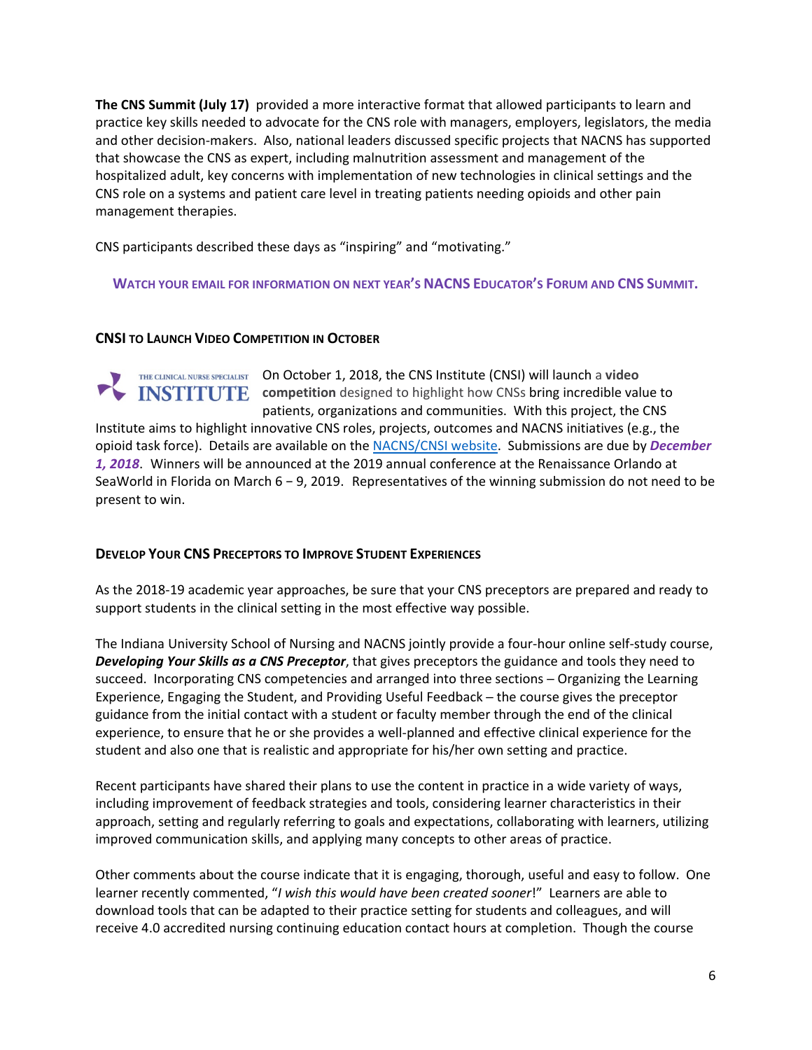**The CNS Summit (July 17)** provided a more interactive format that allowed participants to learn and practice key skills needed to advocate for the CNS role with managers, employers, legislators, the media and other decision-makers. Also, national leaders discussed specific projects that NACNS has supported that showcase the CNS as expert, including malnutrition assessment and management of the hospitalized adult, key concerns with implementation of new technologies in clinical settings and the CNS role on a systems and patient care level in treating patients needing opioids and other pain management therapies.

CNS participants described these days as "inspiring" and "motivating."

**WATCH YOUR EMAIL FOR INFORMATION ON NEXT YEAR'S NACNS EDUCATOR'S FORUM AND CNS SUMMIT.**

# **CNSI TO LAUNCH VIDEO COMPETITION IN OCTOBER**

On October 1, 2018, the CNS Institute (CNSI) will launch a **video COMPLEM EXAMPLE COMPETED COMPETED TO A LIGARY CONSTRUCTED TO A LIGARY CONSTRUCTED TO A LIGARY CONSTRUCTED VALUE OF THE STATE OF THE STATE OF THE STATE OF THE STATE OF THE STATE OF THE STATE OF THE STATE OF THE STATE OF TH** patients, organizations and communities. With this project, the CNS Institute aims to highlight innovative CNS roles, projects, outcomes and NACNS initiatives (e.g., the opioid task force). Details are available on the NACNS/CNSI website. Submissions are due by *December 1, 2018*. Winners will be announced at the 2019 annual conference at the Renaissance Orlando at SeaWorld in Florida on March 6 − 9, 2019. Representatives of the winning submission do not need to be present to win.

#### **DEVELOP YOUR CNS PRECEPTORS TO IMPROVE STUDENT EXPERIENCES**

As the 2018‐19 academic year approaches, be sure that your CNS preceptors are prepared and ready to support students in the clinical setting in the most effective way possible.

The Indiana University School of Nursing and NACNS jointly provide a four‐hour online self‐study course, *Developing Your Skills as a CNS Preceptor*, that gives preceptors the guidance and tools they need to succeed. Incorporating CNS competencies and arranged into three sections — Organizing the Learning Experience, Engaging the Student, and Providing Useful Feedback ─ the course gives the preceptor guidance from the initial contact with a student or faculty member through the end of the clinical experience, to ensure that he or she provides a well‐planned and effective clinical experience for the student and also one that is realistic and appropriate for his/her own setting and practice.

Recent participants have shared their plans to use the content in practice in a wide variety of ways, including improvement of feedback strategies and tools, considering learner characteristics in their approach, setting and regularly referring to goals and expectations, collaborating with learners, utilizing improved communication skills, and applying many concepts to other areas of practice.

Other comments about the course indicate that it is engaging, thorough, useful and easy to follow. One learner recently commented, "*I wish this would have been created sooner*!" Learners are able to download tools that can be adapted to their practice setting for students and colleagues, and will receive 4.0 accredited nursing continuing education contact hours at completion. Though the course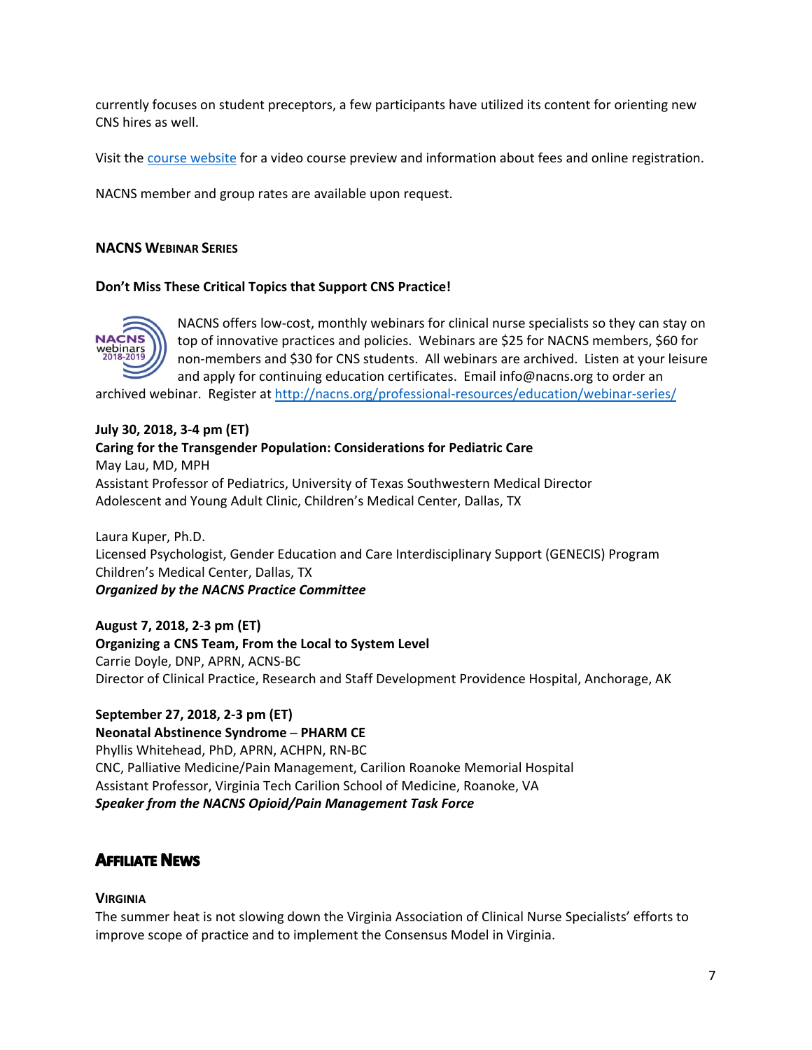currently focuses on student preceptors, a few participants have utilized its content for orienting new CNS hires as well.

Visit the course website for a video course preview and information about fees and online registration.

NACNS member and group rates are available upon request.

# **NACNS WEBINAR SERIES**

# **Don't Miss These Critical Topics that Support CNS Practice!**



NACNS offers low‐cost, monthly webinars for clinical nurse specialists so they can stay on top of innovative practices and policies. Webinars are \$25 for NACNS members, \$60 for non‐members and \$30 for CNS students. All webinars are archived. Listen at your leisure and apply for continuing education certificates. Email info@nacns.org to order an

archived webinar. Register at http://nacns.org/professional‐resources/education/webinar‐series/

# **July 30, 2018, 3‐4 pm (ET) Caring for the Transgender Population: Considerations for Pediatric Care** May Lau, MD, MPH Assistant Professor of Pediatrics, University of Texas Southwestern Medical Director Adolescent and Young Adult Clinic, Children's Medical Center, Dallas, TX

Laura Kuper, Ph.D. Licensed Psychologist, Gender Education and Care Interdisciplinary Support (GENECIS) Program Children's Medical Center, Dallas, TX *Organized by the NACNS Practice Committee* 

**August 7, 2018, 2‐3 pm (ET) Organizing a CNS Team, From the Local to System Level**  Carrie Doyle, DNP, APRN, ACNS‐BC Director of Clinical Practice, Research and Staff Development Providence Hospital, Anchorage, AK

# **September 27, 2018, 2‐3 pm (ET) Neonatal Abstinence Syndrome ─ PHARM CE** Phyllis Whitehead, PhD, APRN, ACHPN, RN‐BC CNC, Palliative Medicine/Pain Management, Carilion Roanoke Memorial Hospital Assistant Professor, Virginia Tech Carilion School of Medicine, Roanoke, VA *Speaker from the NACNS Opioid/Pain Management Task Force*

# **AFFILIATE NEWS**

# **VIRGINIA**

The summer heat is not slowing down the Virginia Association of Clinical Nurse Specialists' efforts to improve scope of practice and to implement the Consensus Model in Virginia.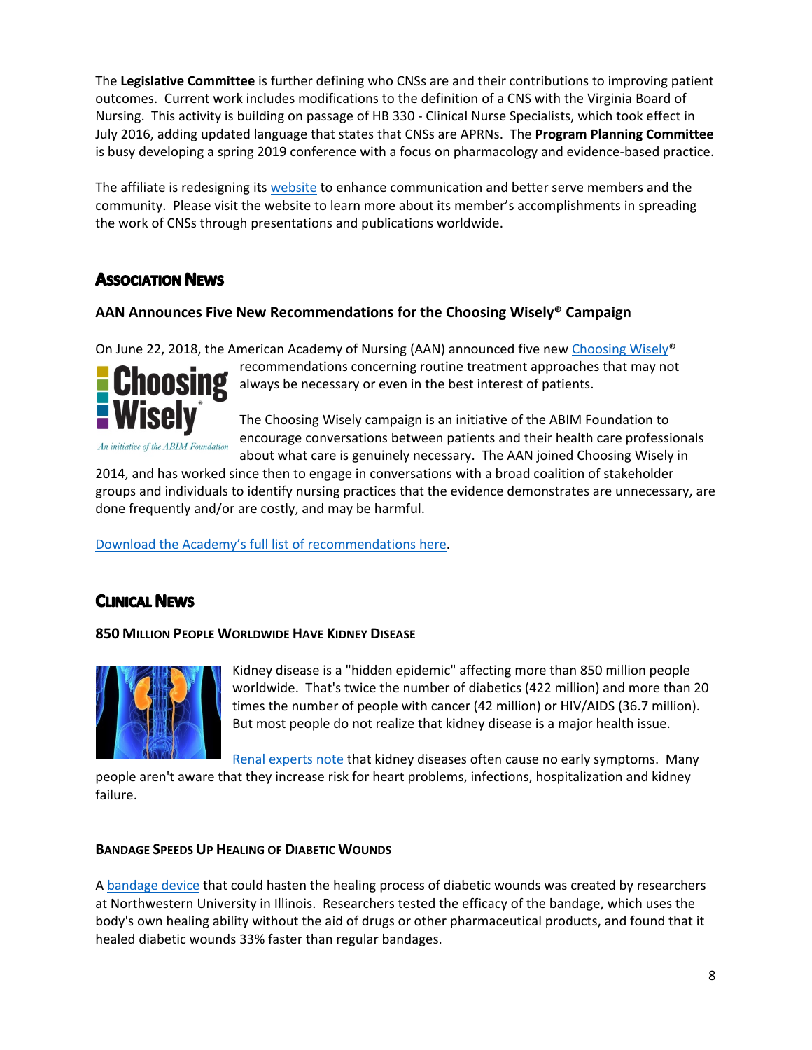The **Legislative Committee** is further defining who CNSs are and their contributions to improving patient outcomes. Current work includes modifications to the definition of a CNS with the Virginia Board of Nursing. This activity is building on passage of HB 330 ‐ Clinical Nurse Specialists, which took effect in July 2016, adding updated language that states that CNSs are APRNs. The **Program Planning Committee** is busy developing a spring 2019 conference with a focus on pharmacology and evidence-based practice.

The affiliate is redesigning its website to enhance communication and better serve members and the community. Please visit the website to learn more about its member's accomplishments in spreading the work of CNSs through presentations and publications worldwide.

# **ASSOCIATION NEWS**

# **AAN Announces Five New Recommendations for the Choosing Wisely® Campaign**

On June 22, 2018, the American Academy of Nursing (AAN) announced five new Choosing Wisely®



recommendations concerning routine treatment approaches that may not always be necessary or even in the best interest of patients.

An initiative of the ABIM Foundation

The Choosing Wisely campaign is an initiative of the ABIM Foundation to encourage conversations between patients and their health care professionals about what care is genuinely necessary. The AAN joined Choosing Wisely in

2014, and has worked since then to engage in conversations with a broad coalition of stakeholder groups and individuals to identify nursing practices that the evidence demonstrates are unnecessary, are done frequently and/or are costly, and may be harmful.

Download the Academy's full list of recommendations here.

# **CLINICAL NEWS**

# **850 MILLION PEOPLE WORLDWIDE HAVE KIDNEY DISEASE**



Kidney disease is a "hidden epidemic" affecting more than 850 million people worldwide. That's twice the number of diabetics (422 million) and more than 20 times the number of people with cancer (42 million) or HIV/AIDS (36.7 million). But most people do not realize that kidney disease is a major health issue.

Renal experts note that kidney diseases often cause no early symptoms. Many

people aren't aware that they increase risk for heart problems, infections, hospitalization and kidney failure.

# **BANDAGE SPEEDS UP HEALING OF DIABETIC WOUNDS**

A bandage device that could hasten the healing process of diabetic wounds was created by researchers at Northwestern University in Illinois. Researchers tested the efficacy of the bandage, which uses the body's own healing ability without the aid of drugs or other pharmaceutical products, and found that it healed diabetic wounds 33% faster than regular bandages.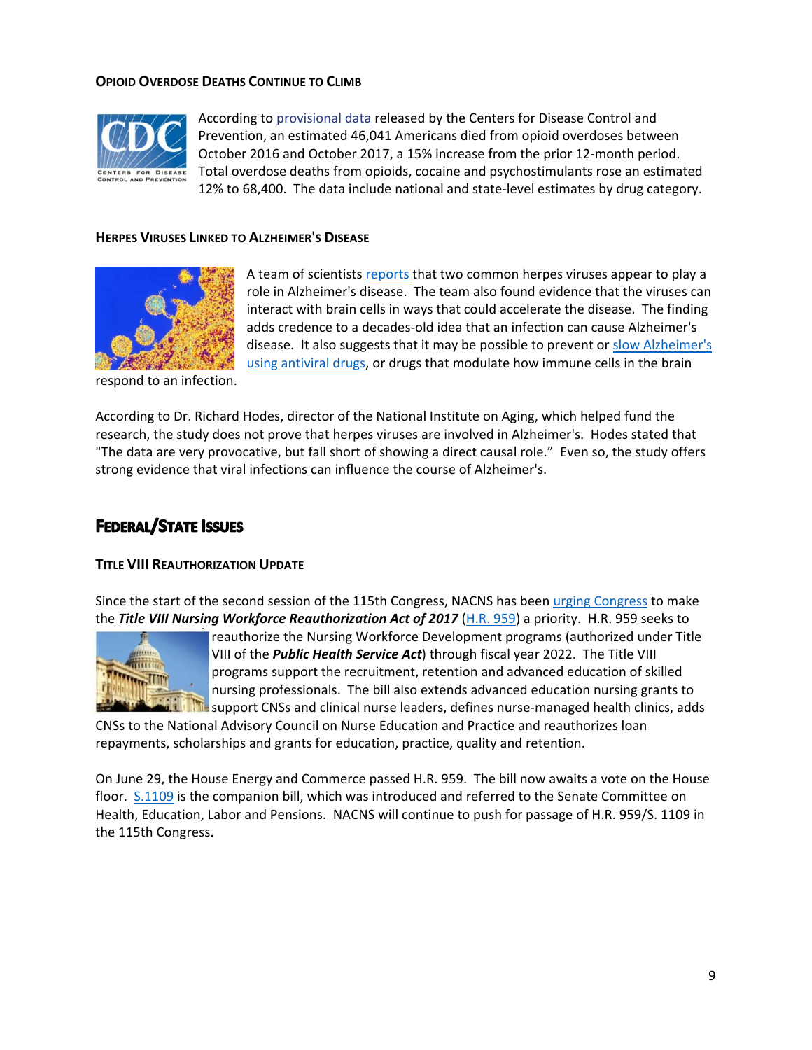# **OPIOID OVERDOSE DEATHS CONTINUE TO CLIMB**



According to provisional data released by the Centers for Disease Control and Prevention, an estimated 46,041 Americans died from opioid overdoses between October 2016 and October 2017, a 15% increase from the prior 12‐month period. Total overdose deaths from opioids, cocaine and psychostimulants rose an estimated 12% to 68,400. The data include national and state‐level estimates by drug category.

#### **HERPES VIRUSES LINKED TO ALZHEIMER'S DISEASE**



A team of scientists reports that two common herpes viruses appear to play a role in Alzheimer's disease. The team also found evidence that the viruses can interact with brain cells in ways that could accelerate the disease. The finding adds credence to a decades‐old idea that an infection can cause Alzheimer's disease. It also suggests that it may be possible to prevent or slow Alzheimer's using antiviral drugs, or drugs that modulate how immune cells in the brain

respond to an infection.

According to Dr. Richard Hodes, director of the National Institute on Aging, which helped fund the research, the study does not prove that herpes viruses are involved in Alzheimer's. Hodes stated that "The data are very provocative, but fall short of showing a direct causal role." Even so, the study offers strong evidence that viral infections can influence the course of Alzheimer's.

# **FEDERAL/STATE ISSUES**

#### **TITLE VIII REAUTHORIZATION UPDATE**

Since the start of the second session of the 115th Congress, NACNS has been urging Congress to make the *Title VIII Nursing Workforce Reauthorization Act of 2017* (H.R. 959) a priority. H.R. 959 seeks to



reauthorize the Nursing Workforce Development programs (authorized under Title VIII of the *Public Health Service Act*) through fiscal year 2022. The Title VIII programs support the recruitment, retention and advanced education of skilled nursing professionals. The bill also extends advanced education nursing grants to IIII≡ support CNSs and clinical nurse leaders, defines nurse-managed health clinics, adds

CNSs to the National Advisory Council on Nurse Education and Practice and reauthorizes loan repayments, scholarships and grants for education, practice, quality and retention.

On June 29, the House Energy and Commerce passed H.R. 959. The bill now awaits a vote on the House floor. S.1109 is the companion bill, which was introduced and referred to the Senate Committee on Health, Education, Labor and Pensions. NACNS will continue to push for passage of H.R. 959/S. 1109 in the 115th Congress.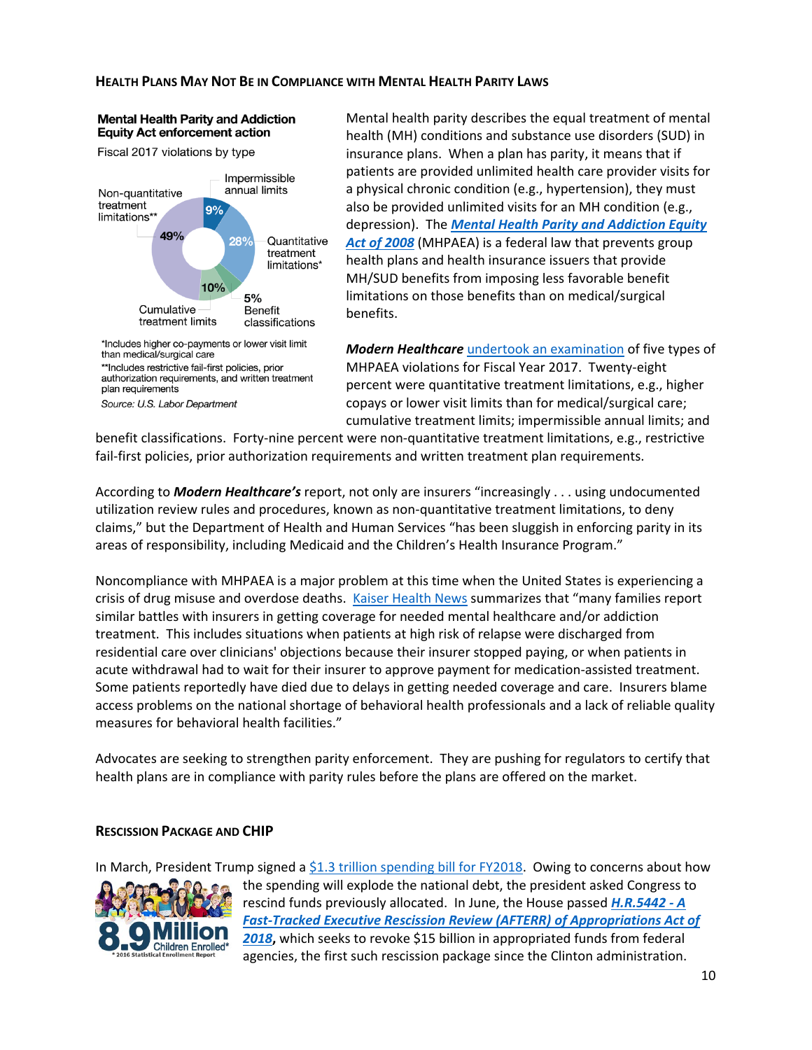#### **HEALTH PLANS MAY NOT BE IN COMPLIANCE WITH MENTAL HEALTH PARITY LAWS**

#### **Mental Health Parity and Addiction Equity Act enforcement action**

Fiscal 2017 violations by type

than medical/surgical care

Source: U.S. Labor Department

plan requirements

\*\*Includes restrictive fail-first policies, prior authorization requirements, and written treatment



Mental health parity describes the equal treatment of mental health (MH) conditions and substance use disorders (SUD) in insurance plans. When a plan has parity, it means that if patients are provided unlimited health care provider visits for a physical chronic condition (e.g., hypertension), they must also be provided unlimited visits for an MH condition (e.g., depression). The *Mental Health Parity and Addiction Equity Act of 2008* (MHPAEA) is a federal law that prevents group health plans and health insurance issuers that provide MH/SUD benefits from imposing less favorable benefit limitations on those benefits than on medical/surgical benefits.

*Modern Healthcare* undertook an examination of five types of MHPAEA violations for Fiscal Year 2017. Twenty‐eight percent were quantitative treatment limitations, e.g., higher copays or lower visit limits than for medical/surgical care; cumulative treatment limits; impermissible annual limits; and

benefit classifications. Forty-nine percent were non-quantitative treatment limitations, e.g., restrictive fail-first policies, prior authorization requirements and written treatment plan requirements.

According to *Modern Healthcare's* report, not only are insurers "increasingly . . . using undocumented utilization review rules and procedures, known as non‐quantitative treatment limitations, to deny claims," but the Department of Health and Human Services "has been sluggish in enforcing parity in its areas of responsibility, including Medicaid and the Children's Health Insurance Program."

Noncompliance with MHPAEA is a major problem at this time when the United States is experiencing a crisis of drug misuse and overdose deaths. Kaiser Health News summarizes that "many families report similar battles with insurers in getting coverage for needed mental healthcare and/or addiction treatment. This includes situations when patients at high risk of relapse were discharged from residential care over clinicians' objections because their insurer stopped paying, or when patients in acute withdrawal had to wait for their insurer to approve payment for medication‐assisted treatment. Some patients reportedly have died due to delays in getting needed coverage and care. Insurers blame access problems on the national shortage of behavioral health professionals and a lack of reliable quality measures for behavioral health facilities."

Advocates are seeking to strengthen parity enforcement. They are pushing for regulators to certify that health plans are in compliance with parity rules before the plans are offered on the market.

# **RESCISSION PACKAGE AND CHIP**



In March, President Trump signed a \$1.3 trillion spending bill for FY2018. Owing to concerns about how the spending will explode the national debt, the president asked Congress to rescind funds previously allocated. In June, the House passed *H.R.5442 ‐ A Fast‐Tracked Executive Rescission Review (AFTERR) of Appropriations Act of 2018***,** which seeks to revoke \$15 billion in appropriated funds from federal agencies, the first such rescission package since the Clinton administration.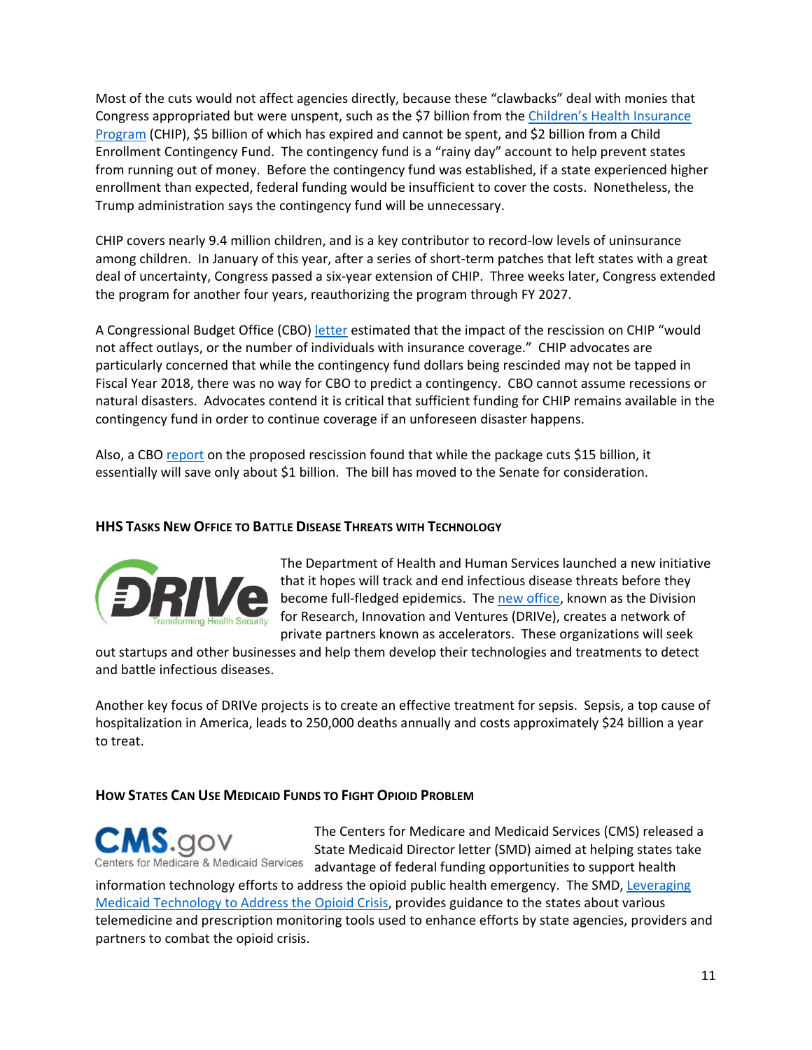Most of the cuts would not affect agencies directly, because these "clawbacks" deal with monies that Congress appropriated but were unspent, such as the \$7 billion from the Children's Health Insurance Program (CHIP), \$5 billion of which has expired and cannot be spent, and \$2 billion from a Child Enrollment Contingency Fund. The contingency fund is a "rainy day" account to help prevent states from running out of money. Before the contingency fund was established, if a state experienced higher enrollment than expected, federal funding would be insufficient to cover the costs. Nonetheless, the Trump administration says the contingency fund will be unnecessary.

CHIP covers nearly 9.4 million children, and is a key contributor to record‐low levels of uninsurance among children. In January of this year, after a series of short-term patches that left states with a great deal of uncertainty, Congress passed a six‐year extension of CHIP. Three weeks later, Congress extended the program for another four years, reauthorizing the program through FY 2027.

A Congressional Budget Office (CBO) letter estimated that the impact of the rescission on CHIP "would not affect outlays, or the number of individuals with insurance coverage." CHIP advocates are particularly concerned that while the contingency fund dollars being rescinded may not be tapped in Fiscal Year 2018, there was no way for CBO to predict a contingency. CBO cannot assume recessions or natural disasters. Advocates contend it is critical that sufficient funding for CHIP remains available in the contingency fund in order to continue coverage if an unforeseen disaster happens.

Also, a CBO report on the proposed rescission found that while the package cuts \$15 billion, it essentially will save only about \$1 billion. The bill has moved to the Senate for consideration.

# **HHS TASKS NEW OFFICE TO BATTLE DISEASE THREATS WITH TECHNOLOGY**



The Department of Health and Human Services launched a new initiative that it hopes will track and end infectious disease threats before they become full-fledged epidemics. The new office, known as the Division for Research, Innovation and Ventures (DRIVe), creates a network of private partners known as accelerators. These organizations will seek

out startups and other businesses and help them develop their technologies and treatments to detect and battle infectious diseases.

Another key focus of DRIVe projects is to create an effective treatment for sepsis. Sepsis, a top cause of hospitalization in America, leads to 250,000 deaths annually and costs approximately \$24 billion a year to treat.

# **HOW STATES CAN USE MEDICAID FUNDS TO FIGHT OPIOID PROBLEM**

 $S$ .gov Centers for Medicare & Medicaid Services The Centers for Medicare and Medicaid Services (CMS) released a State Medicaid Director letter (SMD) aimed at helping states take advantage of federal funding opportunities to support health

information technology efforts to address the opioid public health emergency. The SMD, Leveraging Medicaid Technology to Address the Opioid Crisis, provides guidance to the states about various telemedicine and prescription monitoring tools used to enhance efforts by state agencies, providers and partners to combat the opioid crisis.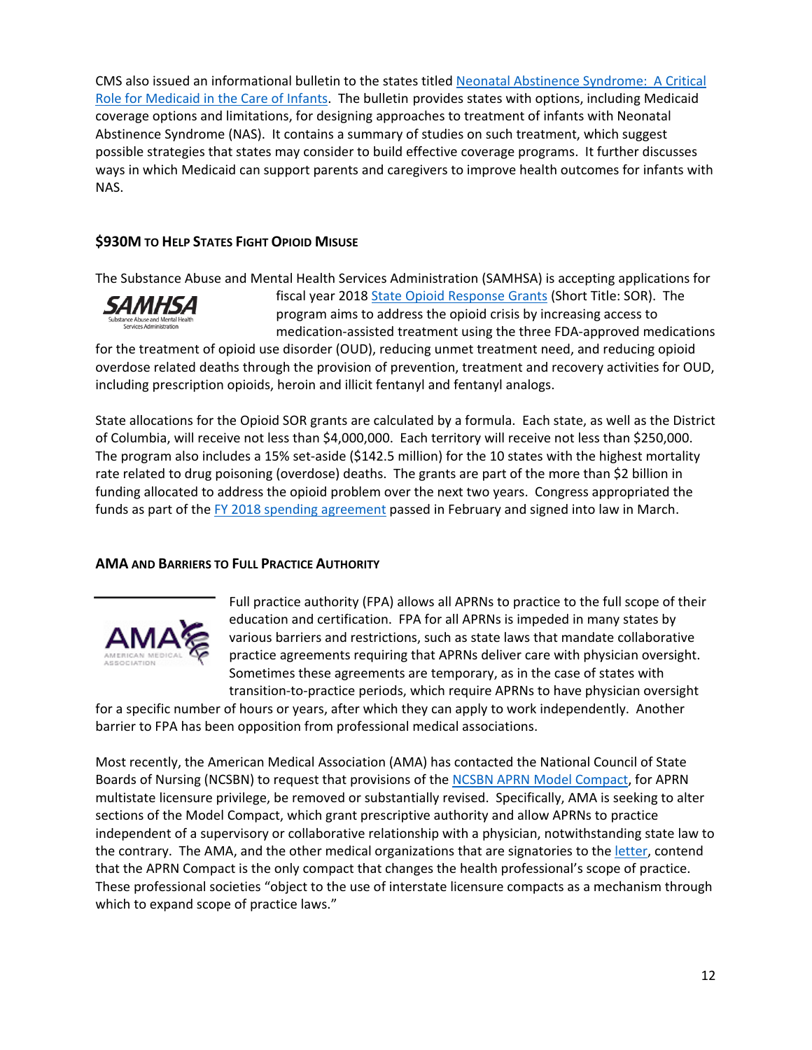CMS also issued an informational bulletin to the states titled Neonatal Abstinence Syndrome: A Critical Role for Medicaid in the Care of Infants. The bulletin provides states with options, including Medicaid coverage options and limitations, for designing approaches to treatment of infants with Neonatal Abstinence Syndrome (NAS). It contains a summary of studies on such treatment, which suggest possible strategies that states may consider to build effective coverage programs. It further discusses ways in which Medicaid can support parents and caregivers to improve health outcomes for infants with NAS.

# **\$930M TO HELP STATES FIGHT OPIOID MISUSE**

The Substance Abuse and Mental Health Services Administration (SAMHSA) is accepting applications for



fiscal year 2018 State Opioid Response Grants (Short Title: SOR). The program aims to address the opioid crisis by increasing access to medication‐assisted treatment using the three FDA‐approved medications

for the treatment of opioid use disorder (OUD), reducing unmet treatment need, and reducing opioid overdose related deaths through the provision of prevention, treatment and recovery activities for OUD, including prescription opioids, heroin and illicit fentanyl and fentanyl analogs.

State allocations for the Opioid SOR grants are calculated by a formula. Each state, as well as the District of Columbia, will receive not less than \$4,000,000. Each territory will receive not less than \$250,000. The program also includes a 15% set‐aside (\$142.5 million) for the 10 states with the highest mortality rate related to drug poisoning (overdose) deaths. The grants are part of the more than \$2 billion in funding allocated to address the opioid problem over the next two years. Congress appropriated the funds as part of the FY 2018 spending agreement passed in February and signed into law in March.

# **AMA AND BARRIERS TO FULL PRACTICE AUTHORITY**



Full practice authority (FPA) allows all APRNs to practice to the full scope of their education and certification. FPA for all APRNs is impeded in many states by various barriers and restrictions, such as state laws that mandate collaborative practice agreements requiring that APRNs deliver care with physician oversight. Sometimes these agreements are temporary, as in the case of states with transition‐to‐practice periods, which require APRNs to have physician oversight

for a specific number of hours or years, after which they can apply to work independently. Another barrier to FPA has been opposition from professional medical associations.

Most recently, the American Medical Association (AMA) has contacted the National Council of State Boards of Nursing (NCSBN) to request that provisions of the NCSBN APRN Model Compact, for APRN multistate licensure privilege, be removed or substantially revised. Specifically, AMA is seeking to alter sections of the Model Compact, which grant prescriptive authority and allow APRNs to practice independent of a supervisory or collaborative relationship with a physician, notwithstanding state law to the contrary. The AMA, and the other medical organizations that are signatories to the letter, contend that the APRN Compact is the only compact that changes the health professional's scope of practice. These professional societies "object to the use of interstate licensure compacts as a mechanism through which to expand scope of practice laws."